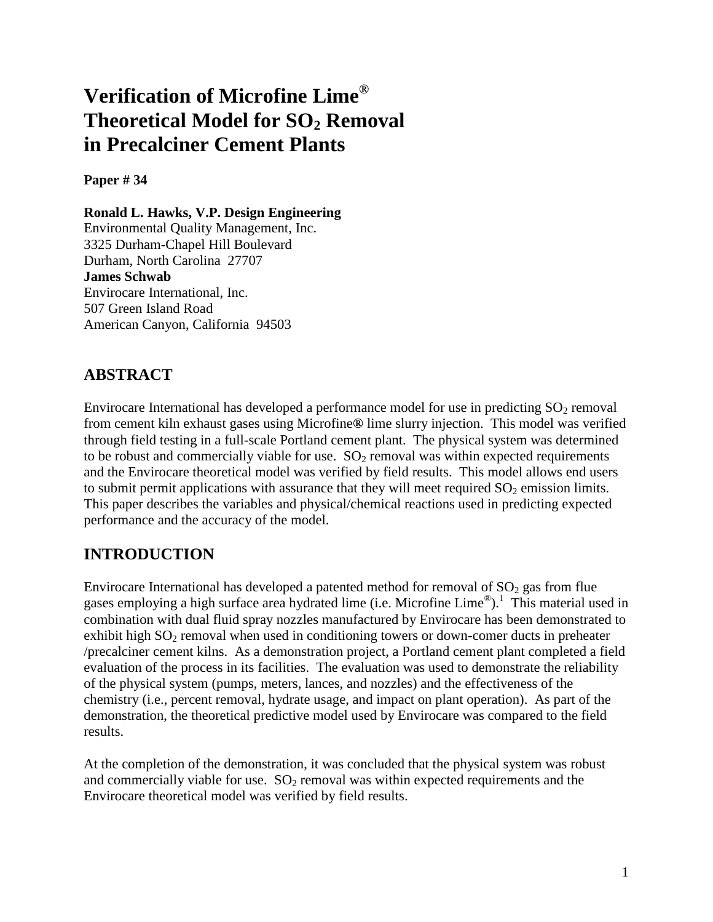# **Verification of Microfine Lime® Theoretical Model for SO<sup>2</sup> Removal in Precalciner Cement Plants**

**Paper # 34**

**Ronald L. Hawks, V.P. Design Engineering** Environmental Quality Management, Inc. 3325 Durham-Chapel Hill Boulevard Durham, North Carolina 27707 **James Schwab** Envirocare International, Inc. 507 Green Island Road American Canyon, California 94503

# **ABSTRACT**

Envirocare International has developed a performance model for use in predicting  $SO_2$  removal from cement kiln exhaust gases using Microfine**®** lime slurry injection. This model was verified through field testing in a full-scale Portland cement plant. The physical system was determined to be robust and commercially viable for use.  $SO_2$  removal was within expected requirements and the Envirocare theoretical model was verified by field results. This model allows end users to submit permit applications with assurance that they will meet required  $SO<sub>2</sub>$  emission limits. This paper describes the variables and physical/chemical reactions used in predicting expected performance and the accuracy of the model.

# **INTRODUCTION**

Envirocare International has developed a patented method for removal of  $SO<sub>2</sub>$  gas from flue gases employing a high surface area hydrated lime (i.e. Microfine Lime<sup>®</sup>).<sup>1</sup> This material used in combination with dual fluid spray nozzles manufactured by Envirocare has been demonstrated to exhibit high  $SO<sub>2</sub>$  removal when used in conditioning towers or down-comer ducts in preheater /precalciner cement kilns. As a demonstration project, a Portland cement plant completed a field evaluation of the process in its facilities. The evaluation was used to demonstrate the reliability of the physical system (pumps, meters, lances, and nozzles) and the effectiveness of the chemistry (i.e., percent removal, hydrate usage, and impact on plant operation). As part of the demonstration, the theoretical predictive model used by Envirocare was compared to the field results.

At the completion of the demonstration, it was concluded that the physical system was robust and commercially viable for use.  $SO<sub>2</sub>$  removal was within expected requirements and the Envirocare theoretical model was verified by field results.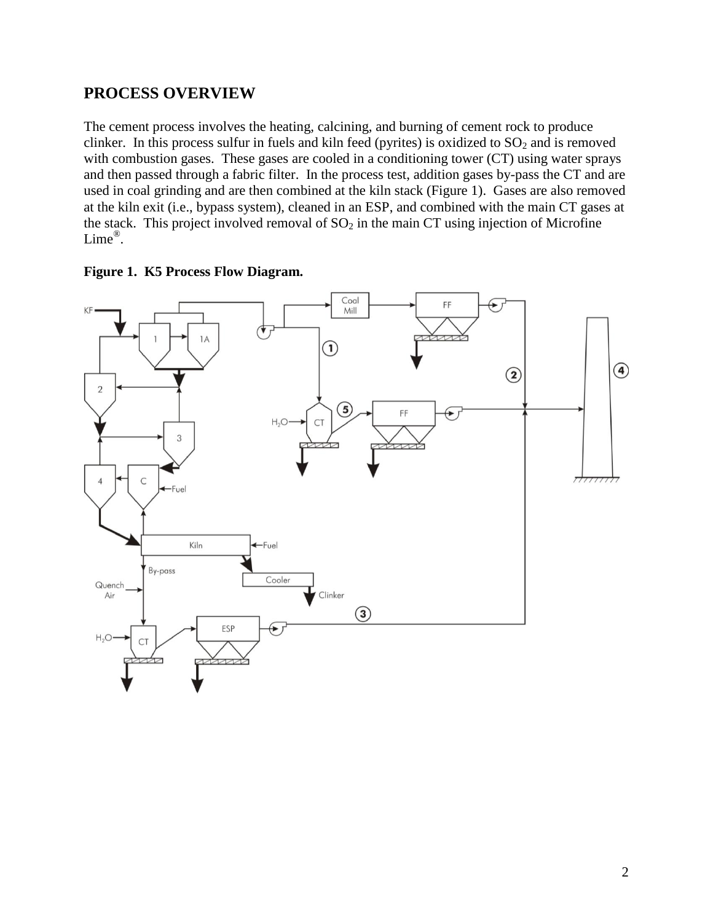#### **PROCESS OVERVIEW**

The cement process involves the heating, calcining, and burning of cement rock to produce clinker. In this process sulfur in fuels and kiln feed (pyrites) is oxidized to  $SO<sub>2</sub>$  and is removed with combustion gases. These gases are cooled in a conditioning tower (CT) using water sprays and then passed through a fabric filter. In the process test, addition gases by-pass the CT and are used in coal grinding and are then combined at the kiln stack (Figure 1). Gases are also removed at the kiln exit (i.e., bypass system), cleaned in an ESP, and combined with the main CT gases at the stack. This project involved removal of  $SO<sub>2</sub>$  in the main CT using injection of Microfine Lime® .



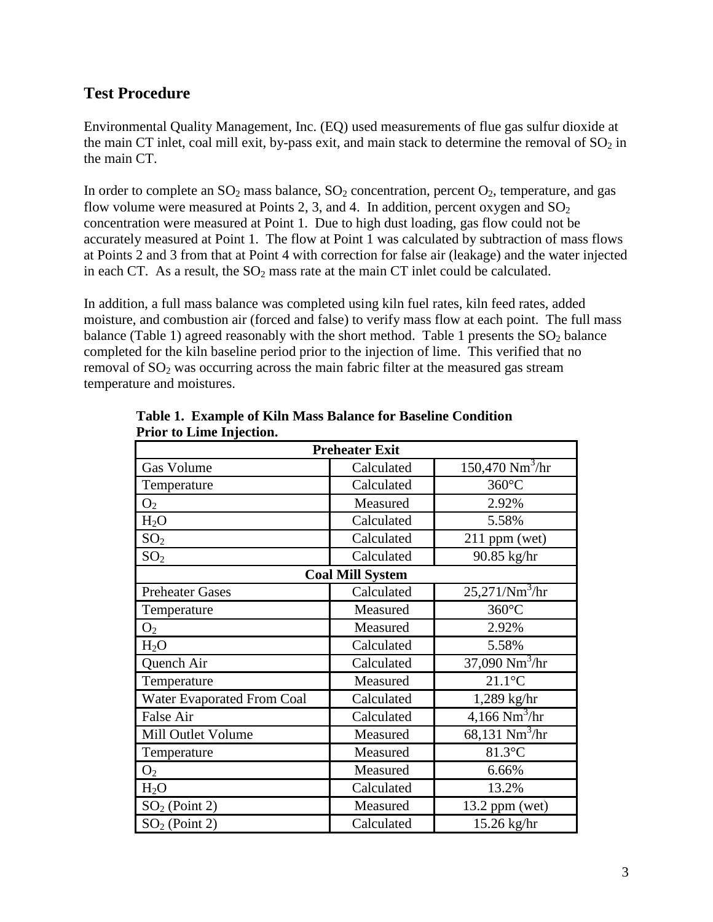#### **Test Procedure**

Environmental Quality Management, Inc. (EQ) used measurements of flue gas sulfur dioxide at the main CT inlet, coal mill exit, by-pass exit, and main stack to determine the removal of  $SO_2$  in the main CT.

In order to complete an  $SO_2$  mass balance,  $SO_2$  concentration, percent  $O_2$ , temperature, and gas flow volume were measured at Points 2, 3, and 4. In addition, percent oxygen and  $SO_2$ concentration were measured at Point 1. Due to high dust loading, gas flow could not be accurately measured at Point 1. The flow at Point 1 was calculated by subtraction of mass flows at Points 2 and 3 from that at Point 4 with correction for false air (leakage) and the water injected in each CT. As a result, the  $SO<sub>2</sub>$  mass rate at the main CT inlet could be calculated.

In addition, a full mass balance was completed using kiln fuel rates, kiln feed rates, added moisture, and combustion air (forced and false) to verify mass flow at each point. The full mass balance (Table 1) agreed reasonably with the short method. Table 1 presents the  $SO_2$  balance completed for the kiln baseline period prior to the injection of lime. This verified that no removal of  $SO<sub>2</sub>$  was occurring across the main fabric filter at the measured gas stream temperature and moistures.

| <b>Preheater Exit</b>             |                         |                                               |  |
|-----------------------------------|-------------------------|-----------------------------------------------|--|
| Gas Volume                        | Calculated              | $150,470$ Nm <sup>3</sup> /hr                 |  |
| Temperature                       | Calculated              | $360^{\circ}$ C                               |  |
| O <sub>2</sub>                    | Measured                | 2.92%                                         |  |
| H <sub>2</sub> O                  | Calculated              | 5.58%                                         |  |
| SO <sub>2</sub>                   | Calculated              | $211$ ppm (wet)                               |  |
| SO <sub>2</sub>                   | Calculated              | 90.85 kg/hr                                   |  |
|                                   | <b>Coal Mill System</b> |                                               |  |
| <b>Preheater Gases</b>            | Calculated              | 25,271/Nm <sup>3</sup> /hr                    |  |
| Temperature                       | Measured                | 360°C                                         |  |
| O <sub>2</sub>                    | Measured                | 2.92%                                         |  |
| $H_2O$                            | Calculated              | 5.58%                                         |  |
| Quench Air                        | Calculated              | $37,090 \overline{\mathrm{Nm}^3/\mathrm{hr}}$ |  |
| Temperature                       | Measured                | $21.1^{\circ}$ C                              |  |
| <b>Water Evaporated From Coal</b> | Calculated              | 1,289 kg/hr                                   |  |
| False Air                         | Calculated              | $4,166$ Nm <sup>3</sup> /hr                   |  |
| Mill Outlet Volume                | Measured                | $68,131$ Nm <sup>3</sup> /hr                  |  |
| Temperature                       | Measured                | 81.3°C                                        |  |
| O <sub>2</sub>                    | Measured                | 6.66%                                         |  |
| $H_2O$                            | Calculated              | 13.2%                                         |  |
| $SO2$ (Point 2)                   | Measured                | $13.2$ ppm (wet)                              |  |
| $SO2$ (Point 2)                   | Calculated              | 15.26 kg/hr                                   |  |

**Table 1. Example of Kiln Mass Balance for Baseline Condition Prior to Lime Injection.**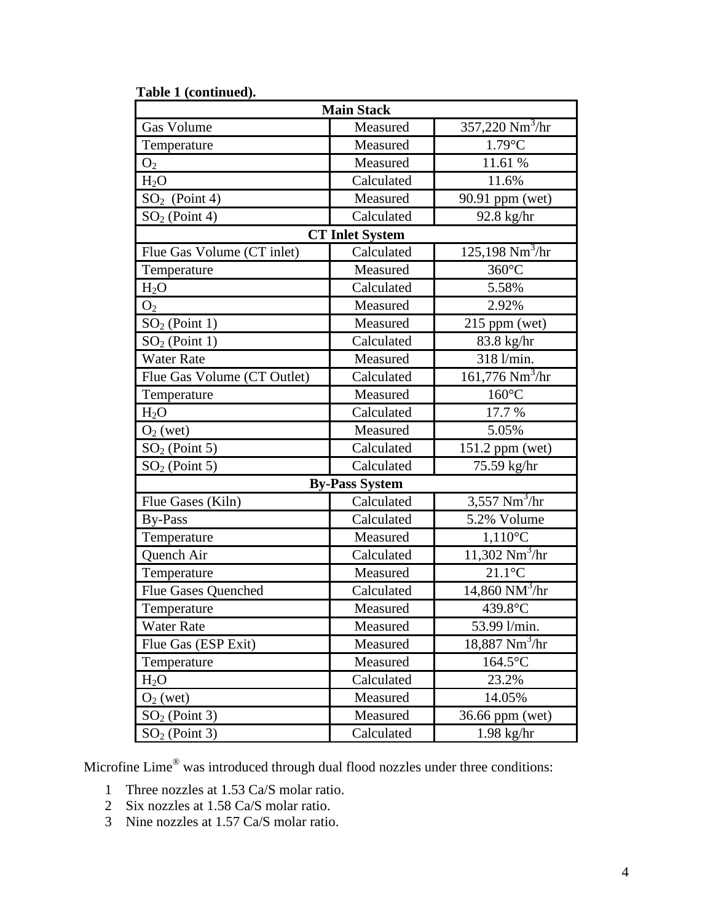| Table 1 (continued).                               |                                          |                                                |  |  |
|----------------------------------------------------|------------------------------------------|------------------------------------------------|--|--|
|                                                    | <b>Main Stack</b>                        |                                                |  |  |
| 357,220 $Nm^3/hr$<br><b>Gas Volume</b><br>Measured |                                          |                                                |  |  |
| Temperature                                        | Measured                                 | $1.79^{\circ}$ C                               |  |  |
| O <sub>2</sub>                                     | Measured                                 | 11.61 %                                        |  |  |
| H <sub>2</sub> O                                   | Calculated                               | 11.6%                                          |  |  |
| $SO2$ (Point 4)                                    | Measured                                 | 90.91 ppm (wet)                                |  |  |
| $SO2$ (Point 4)                                    | Calculated<br>$92.8$ kg/hr               |                                                |  |  |
|                                                    | <b>CT Inlet System</b>                   |                                                |  |  |
| Flue Gas Volume (CT inlet)                         | Calculated                               | $125,198 \overline{\mathrm{Nm}^3/\mathrm{hr}}$ |  |  |
| Temperature                                        | Measured                                 | $360^{\circ}$ C                                |  |  |
| $H_2O$                                             | Calculated                               | 5.58%                                          |  |  |
| O <sub>2</sub>                                     | Measured                                 | 2.92%                                          |  |  |
| $SO2$ (Point 1)                                    | Measured                                 | $215$ ppm (wet)                                |  |  |
| $SO2$ (Point 1)                                    | Calculated                               | 83.8 kg/hr                                     |  |  |
| <b>Water Rate</b>                                  | Measured                                 | 318 l/min.                                     |  |  |
| Flue Gas Volume (CT Outlet)                        | Calculated                               | $161,776$ Nm <sup>3</sup> /hr                  |  |  |
| Temperature                                        | Measured                                 | $160^{\circ}$ C                                |  |  |
| $H_2O$                                             | Calculated                               | 17.7 %                                         |  |  |
| $O2$ (wet)                                         | Measured                                 | 5.05%                                          |  |  |
| $SO2$ (Point 5)                                    | Calculated                               | $151.2$ ppm (wet)                              |  |  |
| $SO2$ (Point 5)                                    | Calculated                               | 75.59 kg/hr                                    |  |  |
|                                                    | <b>By-Pass System</b>                    |                                                |  |  |
| Flue Gases (Kiln)                                  | Calculated                               | $3,557$ Nm <sup>3</sup> /hr                    |  |  |
| <b>By-Pass</b>                                     | Calculated                               | 5.2% Volume                                    |  |  |
| Temperature                                        | Measured                                 | $1,110^{\circ}$ C                              |  |  |
| Quench Air                                         | Calculated                               | 11,302 $Nm^3/hr$                               |  |  |
| Temperature                                        | Measured                                 | $21.1$ °C                                      |  |  |
| Flue Gases Quenched                                | Calculated                               | $14,860$ NM $^{3}/\text{hr}$                   |  |  |
| Temperature                                        | Measured                                 | 439.8°C                                        |  |  |
| <b>Water Rate</b>                                  | Measured                                 | 53.99 l/min.                                   |  |  |
| Flue Gas (ESP Exit)                                | $18,887$ Nm <sup>3</sup> /hr<br>Measured |                                                |  |  |
| Temperature                                        | Measured<br>$164.5$ °C                   |                                                |  |  |
| H <sub>2</sub> O                                   | Calculated                               | 23.2%                                          |  |  |
| $O2$ (wet)                                         | Measured                                 | 14.05%                                         |  |  |
| $SO2$ (Point 3)                                    | Measured                                 | 36.66 ppm (wet)                                |  |  |
| $SO2$ (Point 3)                                    | Calculated                               | $1.98$ kg/hr                                   |  |  |

Microfine Lime® was introduced through dual flood nozzles under three conditions:

- 1 Three nozzles at 1.53 Ca/S molar ratio.
- 2 Six nozzles at 1.58 Ca/S molar ratio.
- 3 Nine nozzles at 1.57 Ca/S molar ratio.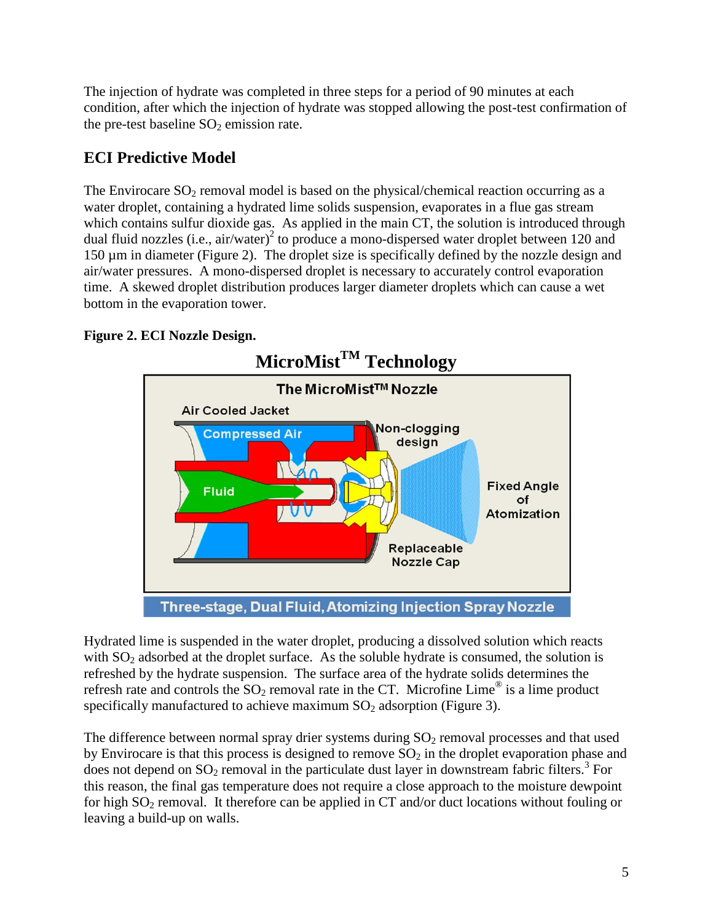The injection of hydrate was completed in three steps for a period of 90 minutes at each condition, after which the injection of hydrate was stopped allowing the post-test confirmation of the pre-test baseline  $SO<sub>2</sub>$  emission rate.

# **ECI Predictive Model**

The Envirocare  $SO_2$  removal model is based on the physical/chemical reaction occurring as a water droplet, containing a hydrated lime solids suspension, evaporates in a flue gas stream which contains sulfur dioxide gas. As applied in the main CT, the solution is introduced through dual fluid nozzles (i.e., air/water)<sup>2</sup> to produce a mono-dispersed water droplet between 120 and 150 µm in diameter (Figure 2). The droplet size is specifically defined by the nozzle design and air/water pressures. A mono-dispersed droplet is necessary to accurately control evaporation time. A skewed droplet distribution produces larger diameter droplets which can cause a wet bottom in the evaporation tower.

#### **Figure 2. ECI Nozzle Design.**



Hydrated lime is suspended in the water droplet, producing a dissolved solution which reacts with  $SO_2$  adsorbed at the droplet surface. As the soluble hydrate is consumed, the solution is refreshed by the hydrate suspension. The surface area of the hydrate solids determines the refresh rate and controls the  $SO_2$  removal rate in the CT. Microfine Lime<sup>®</sup> is a lime product specifically manufactured to achieve maximum  $SO<sub>2</sub>$  adsorption (Figure 3).

The difference between normal spray drier systems during  $SO<sub>2</sub>$  removal processes and that used by Envirocare is that this process is designed to remove  $SO_2$  in the droplet evaporation phase and does not depend on  $SO_2$  removal in the particulate dust layer in downstream fabric filters.<sup>3</sup> For this reason, the final gas temperature does not require a close approach to the moisture dewpoint for high  $SO_2$  removal. It therefore can be applied in CT and/or duct locations without fouling or leaving a build-up on walls.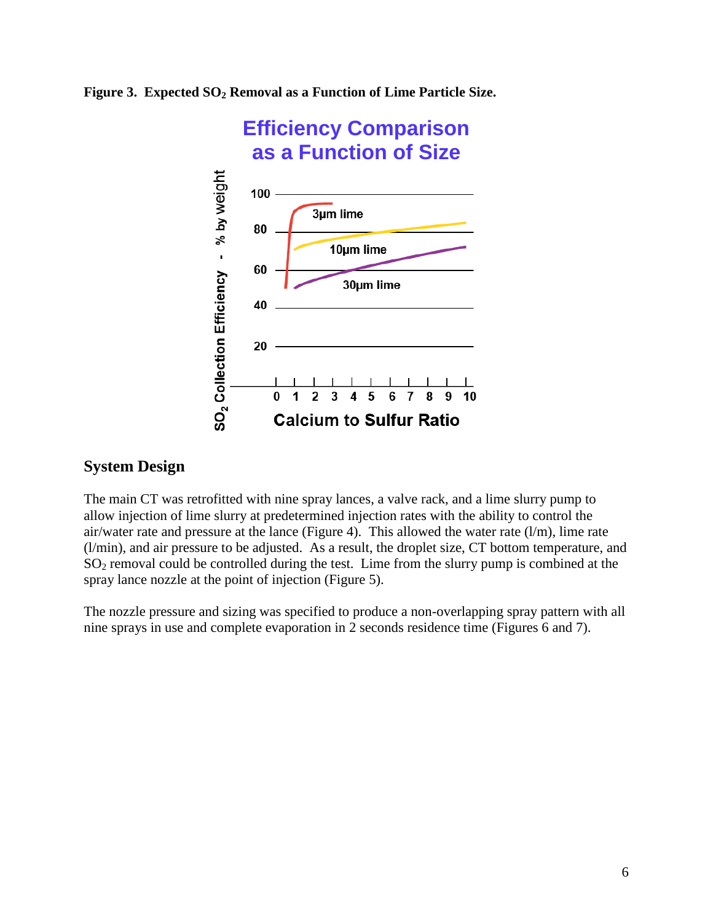**Figure 3. Expected SO<sup>2</sup> Removal as a Function of Lime Particle Size.**



#### **System Design**

The main CT was retrofitted with nine spray lances, a valve rack, and a lime slurry pump to allow injection of lime slurry at predetermined injection rates with the ability to control the air/water rate and pressure at the lance (Figure 4). This allowed the water rate (l/m), lime rate (l/min), and air pressure to be adjusted. As a result, the droplet size, CT bottom temperature, and  $SO<sub>2</sub>$  removal could be controlled during the test. Lime from the slurry pump is combined at the spray lance nozzle at the point of injection (Figure 5).

The nozzle pressure and sizing was specified to produce a non-overlapping spray pattern with all nine sprays in use and complete evaporation in 2 seconds residence time (Figures 6 and 7).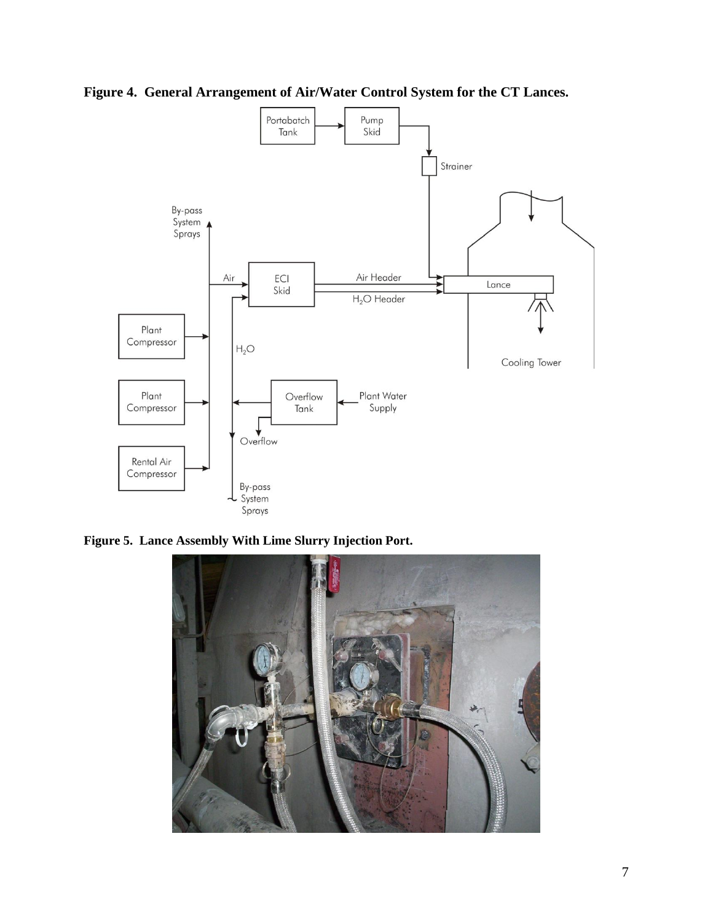**Figure 4. General Arrangement of Air/Water Control System for the CT Lances.**



**Figure 5. Lance Assembly With Lime Slurry Injection Port.**

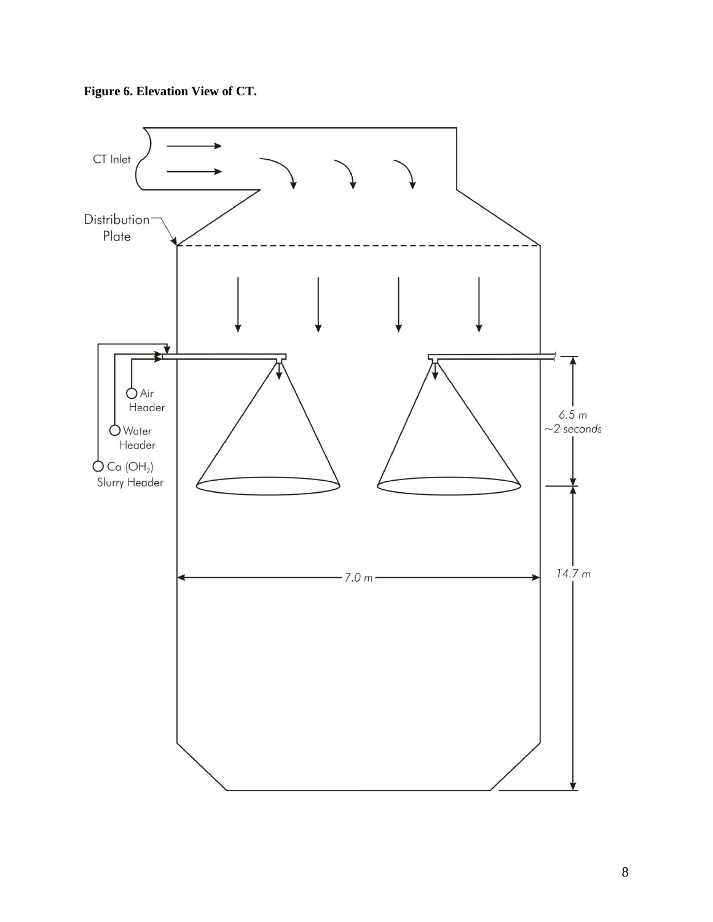

**Figure 6. Elevation View of CT.**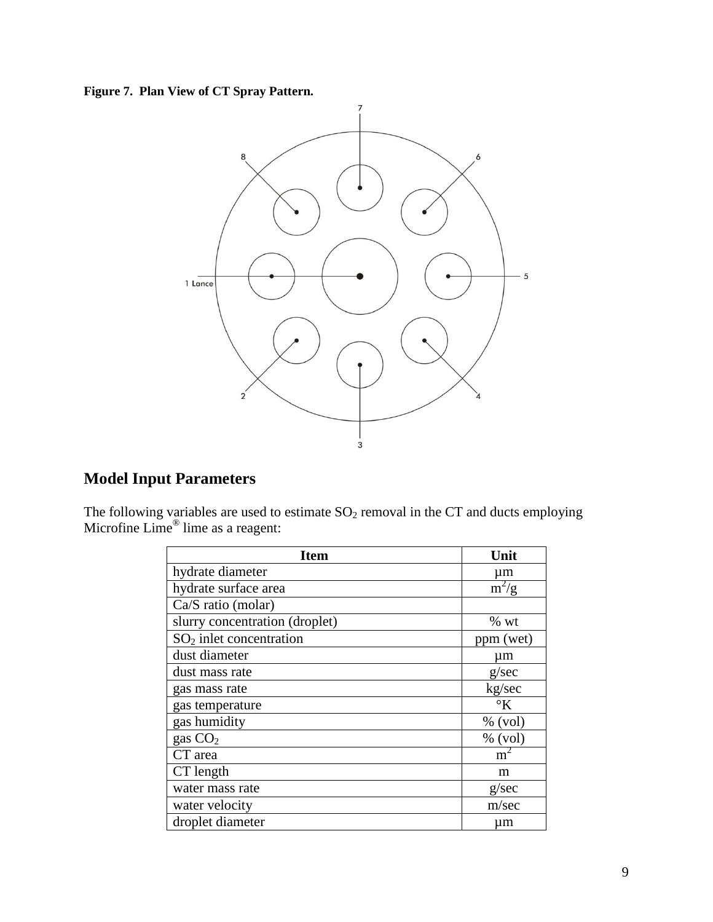**Figure 7. Plan View of CT Spray Pattern.**



# **Model Input Parameters**

The following variables are used to estimate  $SO_2$  removal in the CT and ducts employing Microfine Lime<sup>®</sup> lime as a reagent:

| <b>Item</b>                    | Unit               |
|--------------------------------|--------------------|
| hydrate diameter               | μm                 |
| hydrate surface area           | $\overline{m^2/g}$ |
| Ca/S ratio (molar)             |                    |
| slurry concentration (droplet) | $%$ wt             |
| $SO2$ inlet concentration      | ppm (wet)          |
| dust diameter                  | μm                 |
| dust mass rate                 | g/sec              |
| gas mass rate                  | kg/sec             |
| gas temperature                | $\rm ^{\circ}K$    |
| gas humidity                   | $%$ (vol)          |
| gas $CO2$                      | $%$ (vol)          |
| CT area                        | m <sup>2</sup>     |
| CT length                      | m                  |
| water mass rate                | g/sec              |
| water velocity                 | m/sec              |
| droplet diameter               | μm                 |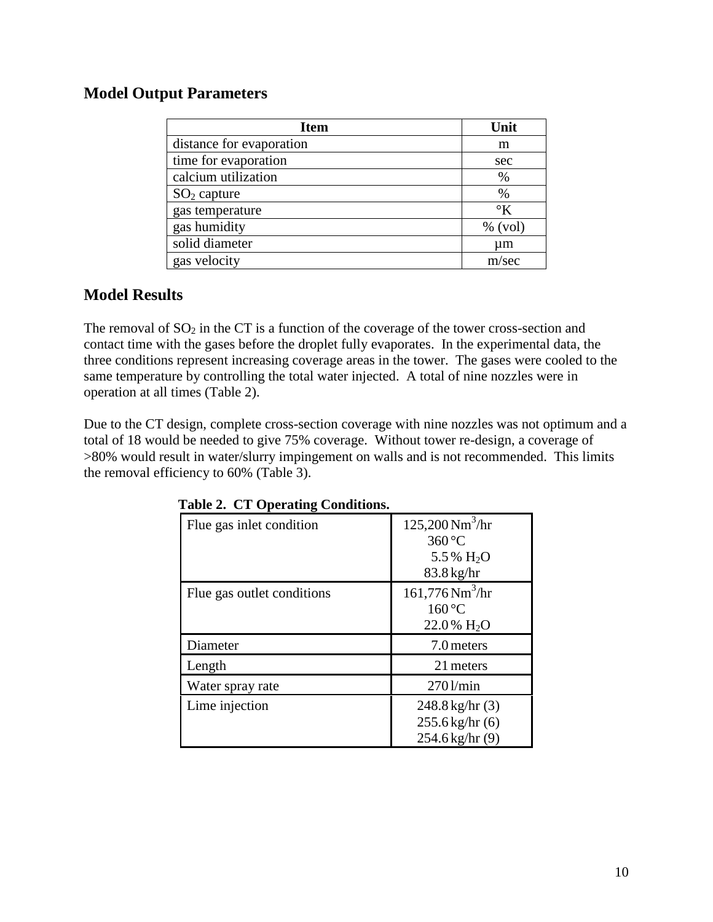#### **Model Output Parameters**

| <b>Item</b>              | Unit              |
|--------------------------|-------------------|
| distance for evaporation | m                 |
| time for evaporation     | sec               |
| calcium utilization      | %                 |
| $SO2$ capture            | %                 |
| gas temperature          | $\mathcal{O}_{K}$ |
| gas humidity             | $%$ (vol)         |
| solid diameter           | um                |
| gas velocity             | m/sec             |

#### **Model Results**

The removal of  $SO_2$  in the CT is a function of the coverage of the tower cross-section and contact time with the gases before the droplet fully evaporates. In the experimental data, the three conditions represent increasing coverage areas in the tower. The gases were cooled to the same temperature by controlling the total water injected. A total of nine nozzles were in operation at all times (Table 2).

Due to the CT design, complete cross-section coverage with nine nozzles was not optimum and a total of 18 would be needed to give 75% coverage. Without tower re-design, a coverage of >80% would result in water/slurry impingement on walls and is not recommended. This limits the removal efficiency to 60% (Table 3).

| Flue gas inlet condition   | $125,200 \,\mathrm{Nm}^3/\mathrm{hr}$<br>360 °C<br>5.5 % $H_2O$<br>$83.8$ kg/hr |
|----------------------------|---------------------------------------------------------------------------------|
| Flue gas outlet conditions | $161,776$ Nm <sup>3</sup> /hr<br>$160^{\circ}$ C<br>$22.0\%$ H <sub>2</sub> O   |
| Diameter                   | 7.0 meters                                                                      |
| Length                     | 21 meters                                                                       |
| Water spray rate           | 2701/min                                                                        |
| Lime injection             | $248.8 \text{ kg/hr}$ (3)<br>$255.6$ kg/hr $(6)$<br>$254.6$ kg/hr $(9)$         |

|  |  |  | <b>Table 2. CT Operating Conditions.</b> |  |
|--|--|--|------------------------------------------|--|
|--|--|--|------------------------------------------|--|